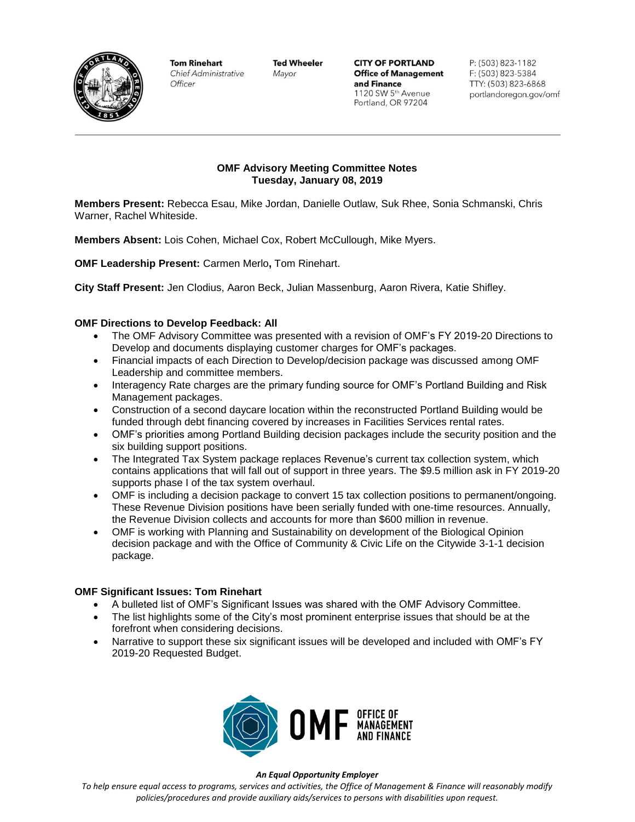

**Tom Rinehart Chief Administrative** Officer

**Ted Wheeler** Mayor

**CITY OF PORTLAND Office of Management** and Finance 1120 SW 5th Avenue Portland, OR 97204

P: (503) 823-1182 F: (503) 823-5384 TTY: (503) 823-6868 portlandoregon.gov/omf

## **OMF Advisory Meeting Committee Notes Tuesday, January 08, 2019**

**Members Present:** Rebecca Esau, Mike Jordan, Danielle Outlaw, Suk Rhee, Sonia Schmanski, Chris Warner, Rachel Whiteside.

**Members Absent:** Lois Cohen, Michael Cox, Robert McCullough, Mike Myers.

**OMF Leadership Present:** Carmen Merlo**,** Tom Rinehart.

**City Staff Present:** Jen Clodius, Aaron Beck, Julian Massenburg, Aaron Rivera, Katie Shifley.

### **OMF Directions to Develop Feedback: All**

- The OMF Advisory Committee was presented with a revision of OMF's FY 2019-20 Directions to Develop and documents displaying customer charges for OMF's packages.
- Financial impacts of each Direction to Develop/decision package was discussed among OMF Leadership and committee members.
- Interagency Rate charges are the primary funding source for OMF's Portland Building and Risk Management packages.
- Construction of a second daycare location within the reconstructed Portland Building would be funded through debt financing covered by increases in Facilities Services rental rates.
- OMF's priorities among Portland Building decision packages include the security position and the six building support positions.
- The Integrated Tax System package replaces Revenue's current tax collection system, which contains applications that will fall out of support in three years. The \$9.5 million ask in FY 2019-20 supports phase I of the tax system overhaul.
- OMF is including a decision package to convert 15 tax collection positions to permanent/ongoing. These Revenue Division positions have been serially funded with one-time resources. Annually, the Revenue Division collects and accounts for more than \$600 million in revenue.
- OMF is working with Planning and Sustainability on development of the Biological Opinion decision package and with the Office of Community & Civic Life on the Citywide 3-1-1 decision package.

## **OMF Significant Issues: Tom Rinehart**

- A bulleted list of OMF's Significant Issues was shared with the OMF Advisory Committee.
- The list highlights some of the City's most prominent enterprise issues that should be at the forefront when considering decisions.
- Narrative to support these six significant issues will be developed and included with OMF's FY 2019-20 Requested Budget.



#### *An Equal Opportunity Employer*

*To help ensure equal access to programs, services and activities, the Office of Management & Finance will reasonably modify policies/procedures and provide auxiliary aids/services to persons with disabilities upon request.*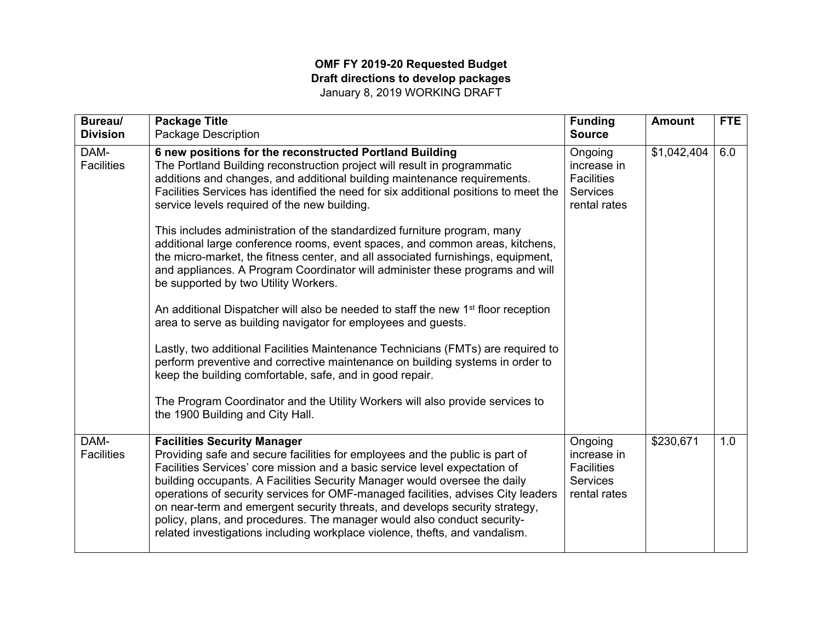# **OMF FY 2019-20 Requested Budget Draft directions to develop packages**  January 8, 2019 WORKING DRAFT

| Bureau/                   | <b>Package Title</b>                                                                                                                                                                                                                                                                                                                                                                                                                                                                                                                                                                                       | <b>Funding</b>                                                                 | <b>Amount</b> | <b>FTE</b> |
|---------------------------|------------------------------------------------------------------------------------------------------------------------------------------------------------------------------------------------------------------------------------------------------------------------------------------------------------------------------------------------------------------------------------------------------------------------------------------------------------------------------------------------------------------------------------------------------------------------------------------------------------|--------------------------------------------------------------------------------|---------------|------------|
| <b>Division</b>           | <b>Package Description</b>                                                                                                                                                                                                                                                                                                                                                                                                                                                                                                                                                                                 | <b>Source</b>                                                                  |               |            |
| DAM-<br><b>Facilities</b> | 6 new positions for the reconstructed Portland Building<br>The Portland Building reconstruction project will result in programmatic<br>additions and changes, and additional building maintenance requirements.<br>Facilities Services has identified the need for six additional positions to meet the<br>service levels required of the new building.                                                                                                                                                                                                                                                    | Ongoing<br>increase in<br><b>Facilities</b><br><b>Services</b><br>rental rates | \$1,042,404   | 6.0        |
|                           | This includes administration of the standardized furniture program, many<br>additional large conference rooms, event spaces, and common areas, kitchens,<br>the micro-market, the fitness center, and all associated furnishings, equipment,<br>and appliances. A Program Coordinator will administer these programs and will<br>be supported by two Utility Workers.                                                                                                                                                                                                                                      |                                                                                |               |            |
|                           | An additional Dispatcher will also be needed to staff the new 1 <sup>st</sup> floor reception<br>area to serve as building navigator for employees and guests.                                                                                                                                                                                                                                                                                                                                                                                                                                             |                                                                                |               |            |
|                           | Lastly, two additional Facilities Maintenance Technicians (FMTs) are required to<br>perform preventive and corrective maintenance on building systems in order to<br>keep the building comfortable, safe, and in good repair.                                                                                                                                                                                                                                                                                                                                                                              |                                                                                |               |            |
|                           | The Program Coordinator and the Utility Workers will also provide services to<br>the 1900 Building and City Hall.                                                                                                                                                                                                                                                                                                                                                                                                                                                                                          |                                                                                |               |            |
| DAM-<br><b>Facilities</b> | <b>Facilities Security Manager</b><br>Providing safe and secure facilities for employees and the public is part of<br>Facilities Services' core mission and a basic service level expectation of<br>building occupants. A Facilities Security Manager would oversee the daily<br>operations of security services for OMF-managed facilities, advises City leaders<br>on near-term and emergent security threats, and develops security strategy,<br>policy, plans, and procedures. The manager would also conduct security-<br>related investigations including workplace violence, thefts, and vandalism. | Ongoing<br>increase in<br><b>Facilities</b><br><b>Services</b><br>rental rates | \$230,671     | 1.0        |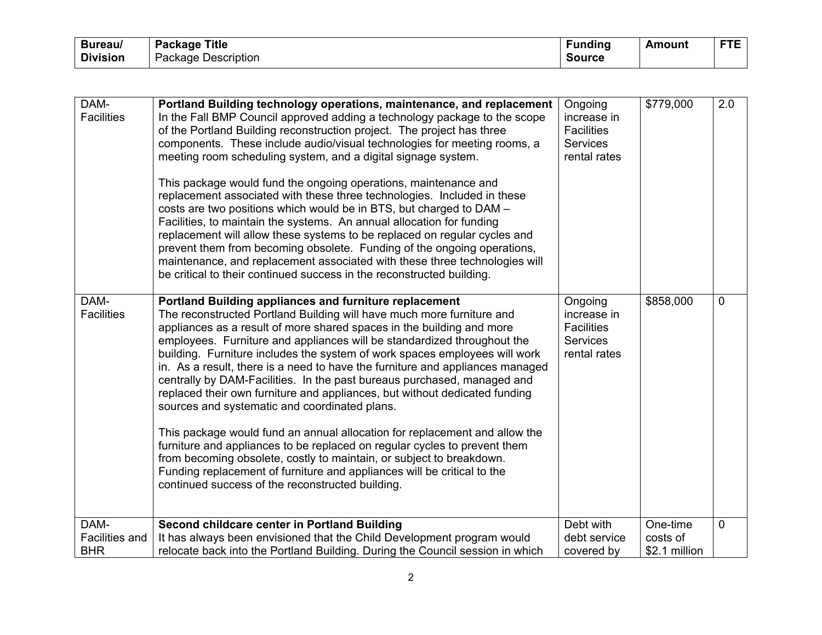| <b>Bureau/</b>  | <b>Title</b><br>Package | <b>undinc</b> | Amount | ---<br>. . |
|-----------------|-------------------------|---------------|--------|------------|
| <b>Division</b> | Package Description     | Source        |        |            |

| DAM-<br><b>Facilities</b>     | Portland Building technology operations, maintenance, and replacement<br>In the Fall BMP Council approved adding a technology package to the scope<br>of the Portland Building reconstruction project. The project has three<br>components. These include audio/visual technologies for meeting rooms, a<br>meeting room scheduling system, and a digital signage system.<br>This package would fund the ongoing operations, maintenance and<br>replacement associated with these three technologies. Included in these<br>costs are two positions which would be in BTS, but charged to DAM -<br>Facilities, to maintain the systems. An annual allocation for funding<br>replacement will allow these systems to be replaced on regular cycles and<br>prevent them from becoming obsolete. Funding of the ongoing operations,<br>maintenance, and replacement associated with these three technologies will<br>be critical to their continued success in the reconstructed building.                                         | Ongoing<br>increase in<br><b>Facilities</b><br><b>Services</b><br>rental rates | \$779,000            | 2.0            |
|-------------------------------|--------------------------------------------------------------------------------------------------------------------------------------------------------------------------------------------------------------------------------------------------------------------------------------------------------------------------------------------------------------------------------------------------------------------------------------------------------------------------------------------------------------------------------------------------------------------------------------------------------------------------------------------------------------------------------------------------------------------------------------------------------------------------------------------------------------------------------------------------------------------------------------------------------------------------------------------------------------------------------------------------------------------------------|--------------------------------------------------------------------------------|----------------------|----------------|
| DAM-<br><b>Facilities</b>     | Portland Building appliances and furniture replacement<br>The reconstructed Portland Building will have much more furniture and<br>appliances as a result of more shared spaces in the building and more<br>employees. Furniture and appliances will be standardized throughout the<br>building. Furniture includes the system of work spaces employees will work<br>in. As a result, there is a need to have the furniture and appliances managed<br>centrally by DAM-Facilities. In the past bureaus purchased, managed and<br>replaced their own furniture and appliances, but without dedicated funding<br>sources and systematic and coordinated plans.<br>This package would fund an annual allocation for replacement and allow the<br>furniture and appliances to be replaced on regular cycles to prevent them<br>from becoming obsolete, costly to maintain, or subject to breakdown.<br>Funding replacement of furniture and appliances will be critical to the<br>continued success of the reconstructed building. | Ongoing<br>increase in<br><b>Facilities</b><br><b>Services</b><br>rental rates | \$858,000            | $\overline{0}$ |
| DAM-<br><b>Facilities and</b> | Second childcare center in Portland Building<br>It has always been envisioned that the Child Development program would                                                                                                                                                                                                                                                                                                                                                                                                                                                                                                                                                                                                                                                                                                                                                                                                                                                                                                         | Debt with<br>debt service                                                      | One-time<br>costs of | $\overline{0}$ |
| <b>BHR</b>                    | relocate back into the Portland Building. During the Council session in which                                                                                                                                                                                                                                                                                                                                                                                                                                                                                                                                                                                                                                                                                                                                                                                                                                                                                                                                                  | covered by                                                                     | \$2.1 million        |                |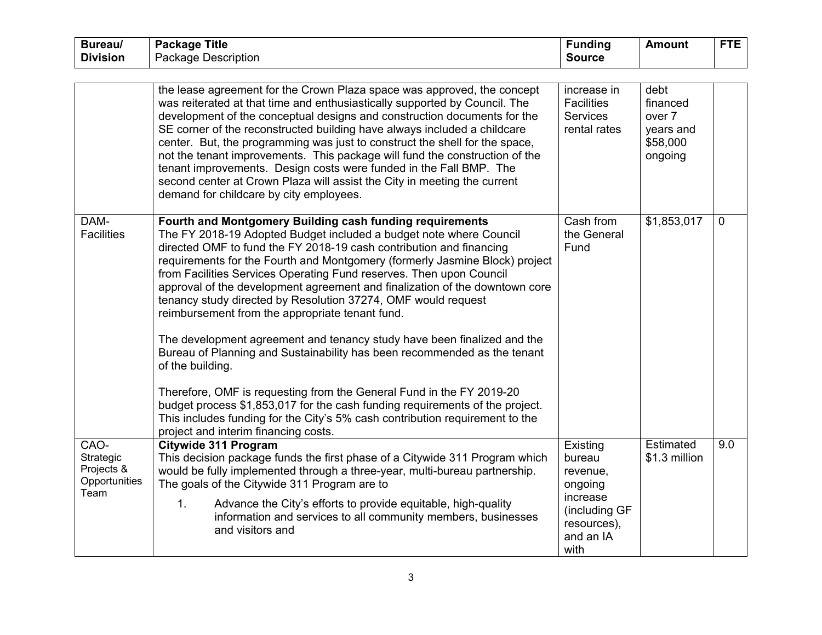| Bureau/<br><b>Division</b>                               | <b>Package Title</b><br><b>Package Description</b>                                                                                                                                                                                                                                                                                                                                                                                                                                                                                                                                                                                                                                                                                                                                                                                                                                                | <b>Funding</b><br><b>Source</b>                                                                    | <b>Amount</b>                                                  | <b>FTE</b>  |
|----------------------------------------------------------|---------------------------------------------------------------------------------------------------------------------------------------------------------------------------------------------------------------------------------------------------------------------------------------------------------------------------------------------------------------------------------------------------------------------------------------------------------------------------------------------------------------------------------------------------------------------------------------------------------------------------------------------------------------------------------------------------------------------------------------------------------------------------------------------------------------------------------------------------------------------------------------------------|----------------------------------------------------------------------------------------------------|----------------------------------------------------------------|-------------|
|                                                          |                                                                                                                                                                                                                                                                                                                                                                                                                                                                                                                                                                                                                                                                                                                                                                                                                                                                                                   |                                                                                                    |                                                                |             |
|                                                          | the lease agreement for the Crown Plaza space was approved, the concept<br>was reiterated at that time and enthusiastically supported by Council. The<br>development of the conceptual designs and construction documents for the<br>SE corner of the reconstructed building have always included a childcare<br>center. But, the programming was just to construct the shell for the space,<br>not the tenant improvements. This package will fund the construction of the<br>tenant improvements. Design costs were funded in the Fall BMP. The<br>second center at Crown Plaza will assist the City in meeting the current<br>demand for childcare by city employees.                                                                                                                                                                                                                          | increase in<br><b>Facilities</b><br><b>Services</b><br>rental rates                                | debt<br>financed<br>over 7<br>years and<br>\$58,000<br>ongoing |             |
| DAM-<br><b>Facilities</b>                                | Fourth and Montgomery Building cash funding requirements<br>The FY 2018-19 Adopted Budget included a budget note where Council<br>directed OMF to fund the FY 2018-19 cash contribution and financing<br>requirements for the Fourth and Montgomery (formerly Jasmine Block) project<br>from Facilities Services Operating Fund reserves. Then upon Council<br>approval of the development agreement and finalization of the downtown core<br>tenancy study directed by Resolution 37274, OMF would request<br>reimbursement from the appropriate tenant fund.<br>The development agreement and tenancy study have been finalized and the<br>Bureau of Planning and Sustainability has been recommended as the tenant<br>of the building.<br>Therefore, OMF is requesting from the General Fund in the FY 2019-20<br>budget process \$1,853,017 for the cash funding requirements of the project. | Cash from<br>the General<br>Fund                                                                   | \$1,853,017                                                    | $\mathbf 0$ |
|                                                          | This includes funding for the City's 5% cash contribution requirement to the<br>project and interim financing costs.                                                                                                                                                                                                                                                                                                                                                                                                                                                                                                                                                                                                                                                                                                                                                                              |                                                                                                    |                                                                |             |
| CAO-<br>Strategic<br>Projects &<br>Opportunities<br>Team | Citywide 311 Program<br>This decision package funds the first phase of a Citywide 311 Program which<br>would be fully implemented through a three-year, multi-bureau partnership.<br>The goals of the Citywide 311 Program are to<br>Advance the City's efforts to provide equitable, high-quality<br>1.<br>information and services to all community members, businesses<br>and visitors and                                                                                                                                                                                                                                                                                                                                                                                                                                                                                                     | Existing<br>bureau<br>revenue,<br>ongoing<br>increase<br>(including GF<br>resources),<br>and an IA | Estimated<br>\$1.3 million                                     | 9.0         |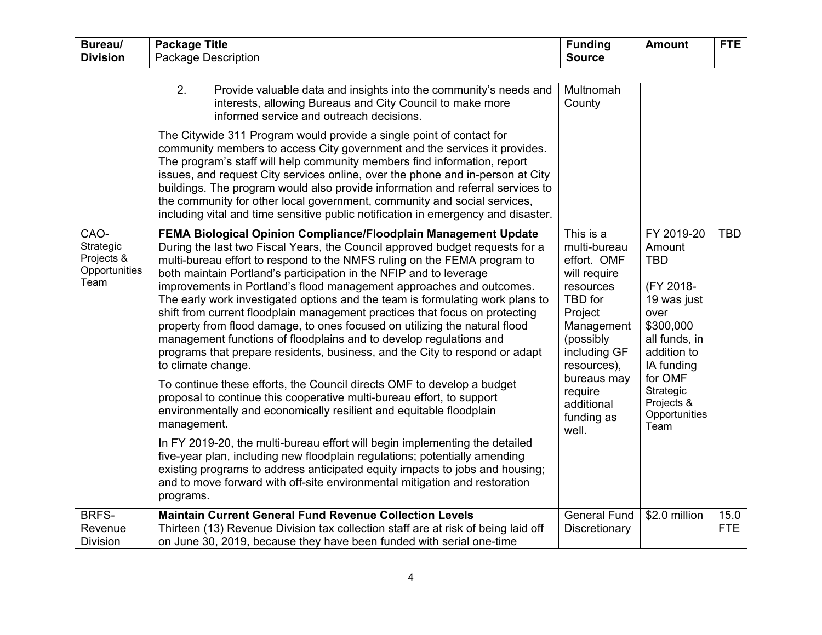| Bureau/                                                  | <b>Package Title</b>                                                                                                                                                                                                                                                                                                                                                                                                                                                                                                                                                                                                                                                                                                                                                                                                                                                                                                                                                                                                                                                                                                                                                                                                                                                                                                                                                                | <b>Funding</b>                                                                                                                                                                                                       | <b>Amount</b>                                                                                                                                                                                    | <b>FTE</b>         |
|----------------------------------------------------------|-------------------------------------------------------------------------------------------------------------------------------------------------------------------------------------------------------------------------------------------------------------------------------------------------------------------------------------------------------------------------------------------------------------------------------------------------------------------------------------------------------------------------------------------------------------------------------------------------------------------------------------------------------------------------------------------------------------------------------------------------------------------------------------------------------------------------------------------------------------------------------------------------------------------------------------------------------------------------------------------------------------------------------------------------------------------------------------------------------------------------------------------------------------------------------------------------------------------------------------------------------------------------------------------------------------------------------------------------------------------------------------|----------------------------------------------------------------------------------------------------------------------------------------------------------------------------------------------------------------------|--------------------------------------------------------------------------------------------------------------------------------------------------------------------------------------------------|--------------------|
| <b>Division</b>                                          | <b>Package Description</b>                                                                                                                                                                                                                                                                                                                                                                                                                                                                                                                                                                                                                                                                                                                                                                                                                                                                                                                                                                                                                                                                                                                                                                                                                                                                                                                                                          | <b>Source</b>                                                                                                                                                                                                        |                                                                                                                                                                                                  |                    |
|                                                          |                                                                                                                                                                                                                                                                                                                                                                                                                                                                                                                                                                                                                                                                                                                                                                                                                                                                                                                                                                                                                                                                                                                                                                                                                                                                                                                                                                                     |                                                                                                                                                                                                                      |                                                                                                                                                                                                  |                    |
|                                                          | 2.<br>Provide valuable data and insights into the community's needs and<br>interests, allowing Bureaus and City Council to make more<br>informed service and outreach decisions.                                                                                                                                                                                                                                                                                                                                                                                                                                                                                                                                                                                                                                                                                                                                                                                                                                                                                                                                                                                                                                                                                                                                                                                                    | Multnomah<br>County                                                                                                                                                                                                  |                                                                                                                                                                                                  |                    |
|                                                          | The Citywide 311 Program would provide a single point of contact for<br>community members to access City government and the services it provides.<br>The program's staff will help community members find information, report<br>issues, and request City services online, over the phone and in-person at City<br>buildings. The program would also provide information and referral services to<br>the community for other local government, community and social services,<br>including vital and time sensitive public notification in emergency and disaster.                                                                                                                                                                                                                                                                                                                                                                                                                                                                                                                                                                                                                                                                                                                                                                                                                  |                                                                                                                                                                                                                      |                                                                                                                                                                                                  |                    |
| CAO-<br>Strategic<br>Projects &<br>Opportunities<br>Team | FEMA Biological Opinion Compliance/Floodplain Management Update<br>During the last two Fiscal Years, the Council approved budget requests for a<br>multi-bureau effort to respond to the NMFS ruling on the FEMA program to<br>both maintain Portland's participation in the NFIP and to leverage<br>improvements in Portland's flood management approaches and outcomes.<br>The early work investigated options and the team is formulating work plans to<br>shift from current floodplain management practices that focus on protecting<br>property from flood damage, to ones focused on utilizing the natural flood<br>management functions of floodplains and to develop regulations and<br>programs that prepare residents, business, and the City to respond or adapt<br>to climate change.<br>To continue these efforts, the Council directs OMF to develop a budget<br>proposal to continue this cooperative multi-bureau effort, to support<br>environmentally and economically resilient and equitable floodplain<br>management.<br>In FY 2019-20, the multi-bureau effort will begin implementing the detailed<br>five-year plan, including new floodplain regulations; potentially amending<br>existing programs to address anticipated equity impacts to jobs and housing;<br>and to move forward with off-site environmental mitigation and restoration<br>programs. | This is a<br>multi-bureau<br>effort. OMF<br>will require<br>resources<br>TBD for<br>Project<br>Management<br>(possibly<br>including GF<br>resources),<br>bureaus may<br>require<br>additional<br>funding as<br>well. | FY 2019-20<br>Amount<br><b>TBD</b><br>(FY 2018-<br>19 was just<br>over<br>\$300,000<br>all funds, in<br>addition to<br>IA funding<br>for OMF<br>Strategic<br>Projects &<br>Opportunities<br>Team | <b>TBD</b>         |
| <b>BRFS-</b><br>Revenue<br><b>Division</b>               | <b>Maintain Current General Fund Revenue Collection Levels</b><br>Thirteen (13) Revenue Division tax collection staff are at risk of being laid off<br>on June 30, 2019, because they have been funded with serial one-time                                                                                                                                                                                                                                                                                                                                                                                                                                                                                                                                                                                                                                                                                                                                                                                                                                                                                                                                                                                                                                                                                                                                                         | <b>General Fund</b><br>Discretionary                                                                                                                                                                                 | \$2.0 million                                                                                                                                                                                    | 15.0<br><b>FTE</b> |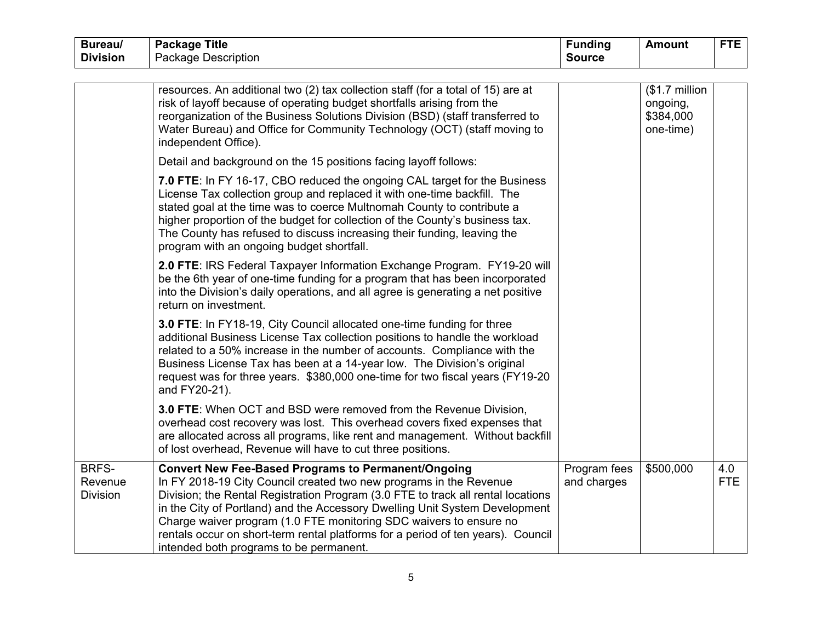| Bureau/                                    | <b>Package Title</b>                                                                                                                                                                                                                                                                                                                                                                                                                                                                                     | <b>Funding</b>              | <b>Amount</b>                                        | <b>FTE</b>        |
|--------------------------------------------|----------------------------------------------------------------------------------------------------------------------------------------------------------------------------------------------------------------------------------------------------------------------------------------------------------------------------------------------------------------------------------------------------------------------------------------------------------------------------------------------------------|-----------------------------|------------------------------------------------------|-------------------|
| <b>Division</b>                            | Package Description                                                                                                                                                                                                                                                                                                                                                                                                                                                                                      | <b>Source</b>               |                                                      |                   |
|                                            |                                                                                                                                                                                                                                                                                                                                                                                                                                                                                                          |                             |                                                      |                   |
|                                            | resources. An additional two (2) tax collection staff (for a total of 15) are at<br>risk of layoff because of operating budget shortfalls arising from the<br>reorganization of the Business Solutions Division (BSD) (staff transferred to<br>Water Bureau) and Office for Community Technology (OCT) (staff moving to<br>independent Office).                                                                                                                                                          |                             | $$1.7$ million<br>ongoing,<br>\$384,000<br>one-time) |                   |
|                                            | Detail and background on the 15 positions facing layoff follows:                                                                                                                                                                                                                                                                                                                                                                                                                                         |                             |                                                      |                   |
|                                            | 7.0 FTE: In FY 16-17, CBO reduced the ongoing CAL target for the Business<br>License Tax collection group and replaced it with one-time backfill. The<br>stated goal at the time was to coerce Multnomah County to contribute a<br>higher proportion of the budget for collection of the County's business tax.<br>The County has refused to discuss increasing their funding, leaving the<br>program with an ongoing budget shortfall.                                                                  |                             |                                                      |                   |
|                                            | 2.0 FTE: IRS Federal Taxpayer Information Exchange Program. FY19-20 will<br>be the 6th year of one-time funding for a program that has been incorporated<br>into the Division's daily operations, and all agree is generating a net positive<br>return on investment.                                                                                                                                                                                                                                    |                             |                                                      |                   |
|                                            | 3.0 FTE: In FY18-19, City Council allocated one-time funding for three<br>additional Business License Tax collection positions to handle the workload<br>related to a 50% increase in the number of accounts. Compliance with the<br>Business License Tax has been at a 14-year low. The Division's original<br>request was for three years. \$380,000 one-time for two fiscal years (FY19-20<br>and FY20-21).                                                                                           |                             |                                                      |                   |
|                                            | 3.0 FTE: When OCT and BSD were removed from the Revenue Division,<br>overhead cost recovery was lost. This overhead covers fixed expenses that<br>are allocated across all programs, like rent and management. Without backfill<br>of lost overhead, Revenue will have to cut three positions.                                                                                                                                                                                                           |                             |                                                      |                   |
| <b>BRFS-</b><br>Revenue<br><b>Division</b> | <b>Convert New Fee-Based Programs to Permanent/Ongoing</b><br>In FY 2018-19 City Council created two new programs in the Revenue<br>Division; the Rental Registration Program (3.0 FTE to track all rental locations<br>in the City of Portland) and the Accessory Dwelling Unit System Development<br>Charge waiver program (1.0 FTE monitoring SDC waivers to ensure no<br>rentals occur on short-term rental platforms for a period of ten years). Council<br>intended both programs to be permanent. | Program fees<br>and charges | \$500,000                                            | 4.0<br><b>FTE</b> |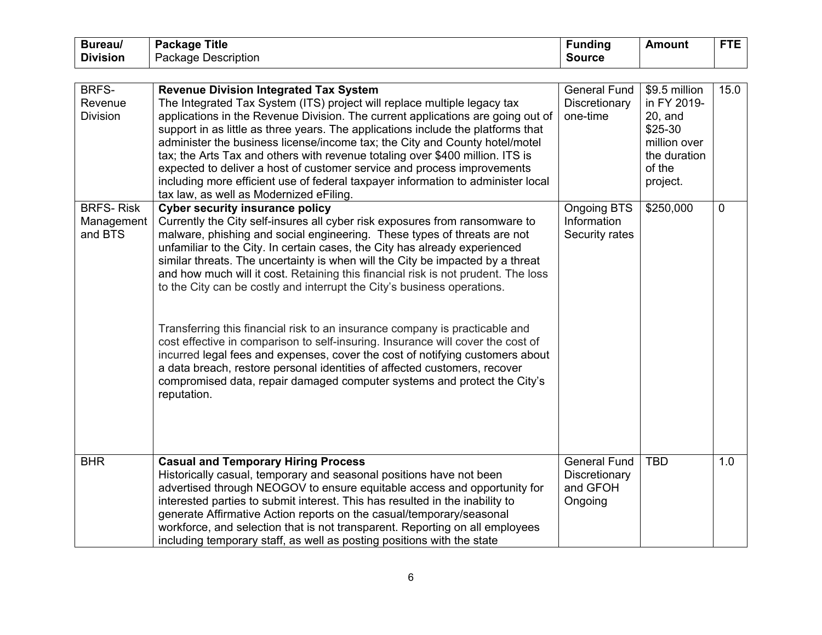| Bureau/<br><b>Division</b>                | <b>Package Title</b>                                                                                                                                                                                                                                                                                                                                                                                                                                                                                                                                                                                                                                                                                                                                                                                                                                                                                                                                         | <b>Funding</b>                                              | <b>Amount</b>                                                                                               | <b>FTE</b>  |
|-------------------------------------------|--------------------------------------------------------------------------------------------------------------------------------------------------------------------------------------------------------------------------------------------------------------------------------------------------------------------------------------------------------------------------------------------------------------------------------------------------------------------------------------------------------------------------------------------------------------------------------------------------------------------------------------------------------------------------------------------------------------------------------------------------------------------------------------------------------------------------------------------------------------------------------------------------------------------------------------------------------------|-------------------------------------------------------------|-------------------------------------------------------------------------------------------------------------|-------------|
|                                           | <b>Package Description</b>                                                                                                                                                                                                                                                                                                                                                                                                                                                                                                                                                                                                                                                                                                                                                                                                                                                                                                                                   | <b>Source</b>                                               |                                                                                                             |             |
| BRFS-<br>Revenue<br><b>Division</b>       | <b>Revenue Division Integrated Tax System</b><br>The Integrated Tax System (ITS) project will replace multiple legacy tax<br>applications in the Revenue Division. The current applications are going out of<br>support in as little as three years. The applications include the platforms that<br>administer the business license/income tax; the City and County hotel/motel<br>tax; the Arts Tax and others with revenue totaling over \$400 million. ITS is<br>expected to deliver a host of customer service and process improvements<br>including more efficient use of federal taxpayer information to administer local<br>tax law, as well as Modernized eFiling.                                                                                                                                                                                                                                                                                   | <b>General Fund</b><br>Discretionary<br>one-time            | \$9.5 million<br>in FY 2019-<br>$20$ , and<br>\$25-30<br>million over<br>the duration<br>of the<br>project. | 15.0        |
| <b>BRFS-Risk</b><br>Management<br>and BTS | <b>Cyber security insurance policy</b><br>Currently the City self-insures all cyber risk exposures from ransomware to<br>malware, phishing and social engineering. These types of threats are not<br>unfamiliar to the City. In certain cases, the City has already experienced<br>similar threats. The uncertainty is when will the City be impacted by a threat<br>and how much will it cost. Retaining this financial risk is not prudent. The loss<br>to the City can be costly and interrupt the City's business operations.<br>Transferring this financial risk to an insurance company is practicable and<br>cost effective in comparison to self-insuring. Insurance will cover the cost of<br>incurred legal fees and expenses, cover the cost of notifying customers about<br>a data breach, restore personal identities of affected customers, recover<br>compromised data, repair damaged computer systems and protect the City's<br>reputation. | <b>Ongoing BTS</b><br>Information<br>Security rates         | \$250,000                                                                                                   | $\mathbf 0$ |
| <b>BHR</b>                                | <b>Casual and Temporary Hiring Process</b><br>Historically casual, temporary and seasonal positions have not been<br>advertised through NEOGOV to ensure equitable access and opportunity for<br>interested parties to submit interest. This has resulted in the inability to<br>generate Affirmative Action reports on the casual/temporary/seasonal<br>workforce, and selection that is not transparent. Reporting on all employees<br>including temporary staff, as well as posting positions with the state                                                                                                                                                                                                                                                                                                                                                                                                                                              | <b>General Fund</b><br>Discretionary<br>and GFOH<br>Ongoing | <b>TBD</b>                                                                                                  | 1.0         |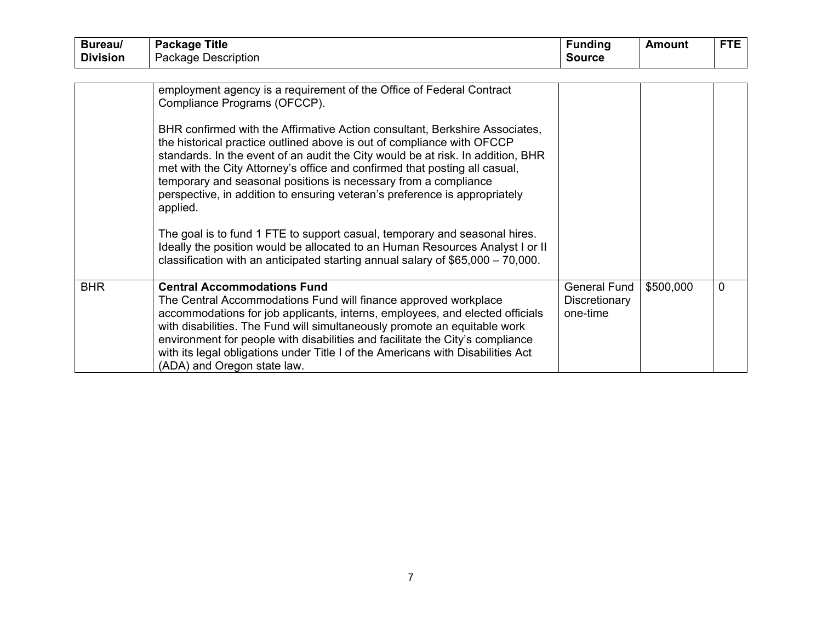| Bureau/         | <b>Package Title</b>                                                                                                                                                                                                                                                                                                                                                                                                                                                                | <b>Funding</b>                                   | <b>Amount</b> | <b>FTE</b>  |
|-----------------|-------------------------------------------------------------------------------------------------------------------------------------------------------------------------------------------------------------------------------------------------------------------------------------------------------------------------------------------------------------------------------------------------------------------------------------------------------------------------------------|--------------------------------------------------|---------------|-------------|
| <b>Division</b> | Package Description                                                                                                                                                                                                                                                                                                                                                                                                                                                                 | <b>Source</b>                                    |               |             |
|                 |                                                                                                                                                                                                                                                                                                                                                                                                                                                                                     |                                                  |               |             |
|                 | employment agency is a requirement of the Office of Federal Contract<br>Compliance Programs (OFCCP).                                                                                                                                                                                                                                                                                                                                                                                |                                                  |               |             |
|                 | BHR confirmed with the Affirmative Action consultant, Berkshire Associates,<br>the historical practice outlined above is out of compliance with OFCCP<br>standards. In the event of an audit the City would be at risk. In addition, BHR<br>met with the City Attorney's office and confirmed that posting all casual,<br>temporary and seasonal positions is necessary from a compliance<br>perspective, in addition to ensuring veteran's preference is appropriately<br>applied. |                                                  |               |             |
|                 | The goal is to fund 1 FTE to support casual, temporary and seasonal hires.<br>Ideally the position would be allocated to an Human Resources Analyst I or II<br>classification with an anticipated starting annual salary of $$65,000 - 70,000$ .                                                                                                                                                                                                                                    |                                                  |               |             |
| <b>BHR</b>      | <b>Central Accommodations Fund</b><br>The Central Accommodations Fund will finance approved workplace<br>accommodations for job applicants, interns, employees, and elected officials<br>with disabilities. The Fund will simultaneously promote an equitable work<br>environment for people with disabilities and facilitate the City's compliance<br>with its legal obligations under Title I of the Americans with Disabilities Act<br>(ADA) and Oregon state law.               | <b>General Fund</b><br>Discretionary<br>one-time | \$500,000     | $\mathbf 0$ |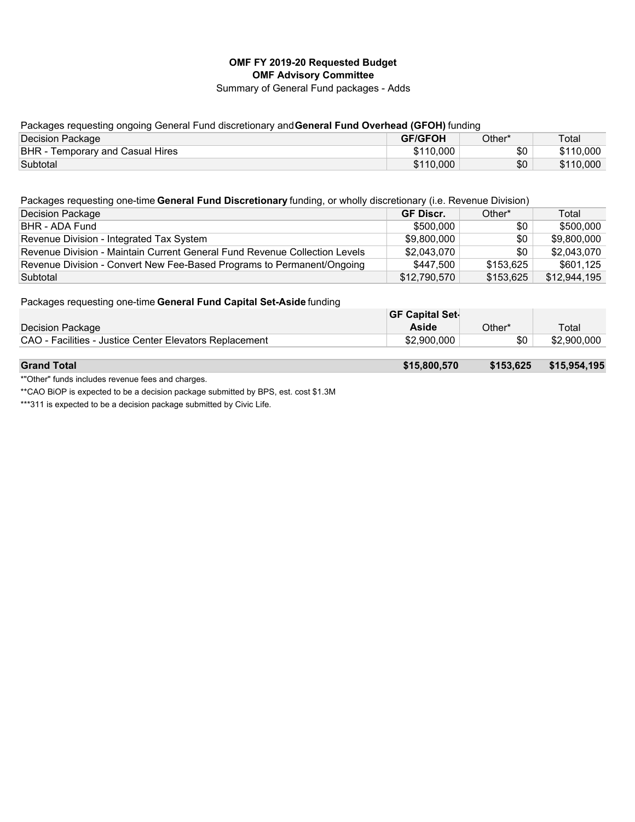## **OMF FY 2019-20 Requested Budget OMF Advisory Committee**

Summary of General Fund packages - Adds

## Packages requesting ongoing General Fund discretionary and **General Fund Overhead (GFOH)** funding

| Decision Package                        | <b>GF/GFOH</b> | Other* | Total     |
|-----------------------------------------|----------------|--------|-----------|
| <b>BHR</b> - Temporary and Casual Hires | \$110,000      | \$0    | \$110,000 |
| Subtotal                                | \$110,000      | \$0    | \$110,000 |

#### Packages requesting one-time **General Fund Discretionary** funding, or wholly discretionary (i.e. Revenue Division)

| Decision Package                                                           | <b>GF Discr.</b> | Other*    | Total        |
|----------------------------------------------------------------------------|------------------|-----------|--------------|
| BHR - ADA Fund                                                             | \$500,000        | \$0       | \$500,000    |
| Revenue Division - Integrated Tax System                                   | \$9.800.000      | \$0       | \$9.800.000  |
| Revenue Division - Maintain Current General Fund Revenue Collection Levels | \$2,043,070      | \$0       | \$2,043,070  |
| Revenue Division - Convert New Fee-Based Programs to Permanent/Ongoing     | \$447.500        | \$153.625 | \$601.125    |
| Subtotal                                                                   | \$12,790,570     | \$153,625 | \$12,944,195 |

Packages requesting one-time **General Fund Capital Set-Aside** funding

|                                                         | <b>GF Capital Set-</b> |        |             |
|---------------------------------------------------------|------------------------|--------|-------------|
| Decision Package                                        | Aside                  | Other* | Total       |
| CAO - Facilities - Justice Center Elevators Replacement | \$2.900.000            | \$0    | \$2,900,000 |
|                                                         |                        |        |             |

#### **Grand Total \$15,800,570 \$153,625 \$15,954,195**

\*"Other" funds includes revenue fees and charges.

\*\*CAO BiOP is expected to be a decision package submitted by BPS, est. cost \$1.3M

\*\*\*311 is expected to be a decision package submitted by Civic Life.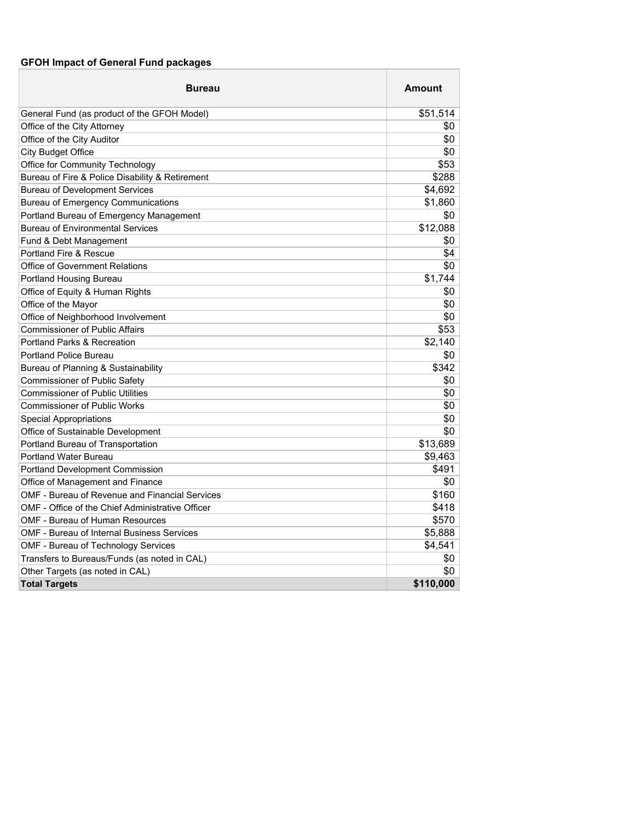# **GFOH Impact of General Fund packages**

| <b>Bureau</b>                                     | <b>Amount</b> |
|---------------------------------------------------|---------------|
| General Fund (as product of the GFOH Model)       | \$51,514      |
| Office of the City Attorney                       | \$0           |
| Office of the City Auditor                        | \$0           |
| <b>City Budget Office</b>                         | \$0           |
| Office for Community Technology                   | \$53          |
| Bureau of Fire & Police Disability & Retirement   | \$288         |
| <b>Bureau of Development Services</b>             | \$4,692       |
| <b>Bureau of Emergency Communications</b>         | \$1,860       |
| Portland Bureau of Emergency Management           | \$0           |
| <b>Bureau of Environmental Services</b>           | \$12,088      |
| Fund & Debt Management                            | \$0           |
| <b>Portland Fire &amp; Rescue</b>                 | \$4           |
| <b>Office of Government Relations</b>             | \$0           |
| Portland Housing Bureau                           | \$1,744       |
| Office of Equity & Human Rights                   | \$0           |
| Office of the Mayor                               | \$0           |
| Office of Neighborhood Involvement                | \$0           |
| <b>Commissioner of Public Affairs</b>             | \$53          |
| <b>Portland Parks &amp; Recreation</b>            | \$2,140       |
| <b>Portland Police Bureau</b>                     | \$0           |
| Bureau of Planning & Sustainability               | \$342         |
| <b>Commissioner of Public Safety</b>              | \$0           |
| <b>Commissioner of Public Utilities</b>           | \$0           |
| <b>Commissioner of Public Works</b>               | \$0           |
| <b>Special Appropriations</b>                     | \$0           |
| Office of Sustainable Development                 | \$0           |
| Portland Bureau of Transportation                 | \$13,689      |
| <b>Portland Water Bureau</b>                      | \$9,463       |
| Portland Development Commission                   | \$491         |
| Office of Management and Finance                  | \$0           |
| OMF - Bureau of Revenue and Financial Services    | \$160         |
| OMF - Office of the Chief Administrative Officer  | \$418         |
| OMF - Bureau of Human Resources                   | \$570         |
| <b>OMF - Bureau of Internal Business Services</b> | \$5,888       |
| OMF - Bureau of Technology Services               | \$4,541       |
| Transfers to Bureaus/Funds (as noted in CAL)      | \$0           |
| Other Targets (as noted in CAL)                   | \$0           |
| <b>Total Targets</b>                              | \$110,000     |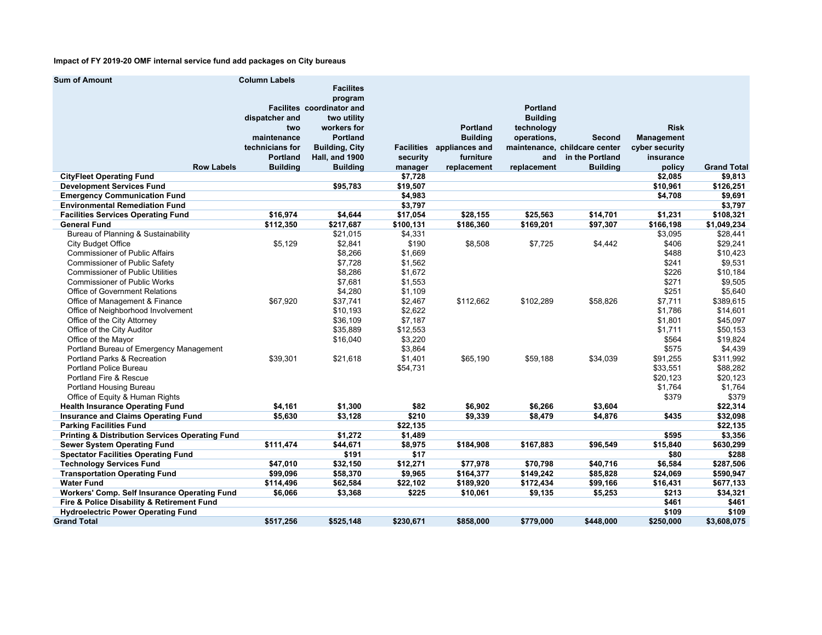#### **Impact of FY 2019-20 OMF internal service fund add packages on City bureaus**

| <b>Sum of Amount</b>                                       | <b>Column Labels</b> |                                  |                   |                 |                 |                               |                   |                    |
|------------------------------------------------------------|----------------------|----------------------------------|-------------------|-----------------|-----------------|-------------------------------|-------------------|--------------------|
|                                                            |                      | <b>Facilites</b>                 |                   |                 |                 |                               |                   |                    |
|                                                            |                      | program                          |                   |                 |                 |                               |                   |                    |
|                                                            |                      | <b>Facilites coordinator and</b> |                   |                 | <b>Portland</b> |                               |                   |                    |
|                                                            | dispatcher and       | two utility                      |                   |                 | <b>Building</b> |                               |                   |                    |
|                                                            | two                  | workers for                      |                   | Portland        | technology      |                               | <b>Risk</b>       |                    |
|                                                            | maintenance          | <b>Portland</b>                  |                   | <b>Building</b> | operations,     | Second                        | <b>Management</b> |                    |
|                                                            | technicians for      | <b>Building, City</b>            | <b>Facilities</b> | appliances and  |                 | maintenance, childcare center | cyber security    |                    |
|                                                            | <b>Portland</b>      | Hall, and 1900                   | security          | furniture       | and             | in the Portland               | insurance         |                    |
| <b>Row Labels</b>                                          | <b>Building</b>      | <b>Building</b>                  | manager           | replacement     | replacement     | <b>Building</b>               | policy            | <b>Grand Total</b> |
| <b>CityFleet Operating Fund</b>                            |                      |                                  | \$7,728           |                 |                 |                               | \$2,085           | \$9,813            |
| <b>Development Services Fund</b>                           |                      | \$95,783                         | \$19,507          |                 |                 |                               | \$10,961          | \$126,251          |
| <b>Emergency Communication Fund</b>                        |                      |                                  | \$4,983           |                 |                 |                               | \$4,708           | \$9,691            |
| <b>Environmental Remediation Fund</b>                      |                      |                                  | \$3,797           |                 |                 |                               |                   | \$3,797            |
| <b>Facilities Services Operating Fund</b>                  | \$16,974             | \$4,644                          | \$17,054          | \$28,155        | \$25,563        | \$14,701                      | \$1,231           | \$108,321          |
| <b>General Fund</b>                                        | \$112,350            | \$217,687                        | \$100,131         | \$186,360       | \$169,201       | \$97,307                      | \$166,198         | \$1,049,234        |
| Bureau of Planning & Sustainability                        |                      | \$21,015                         | \$4,331           |                 |                 |                               | \$3,095           | \$28,441           |
| <b>City Budget Office</b>                                  | \$5,129              | \$2,841                          | \$190             | \$8,508         | \$7,725         | \$4,442                       | \$406             | \$29,241           |
| <b>Commissioner of Public Affairs</b>                      |                      | \$8,266                          | \$1,669           |                 |                 |                               | \$488             | \$10,423           |
| <b>Commissioner of Public Safety</b>                       |                      | \$7,728                          | \$1,562           |                 |                 |                               | \$241             | \$9,531            |
| <b>Commissioner of Public Utilities</b>                    |                      | \$8,286                          | \$1,672           |                 |                 |                               | \$226             | \$10,184           |
| <b>Commissioner of Public Works</b>                        |                      | \$7,681                          | \$1,553           |                 |                 |                               | \$271             | \$9,505            |
| <b>Office of Government Relations</b>                      |                      | \$4,280                          | \$1,109           |                 |                 |                               | \$251             | \$5,640            |
| Office of Management & Finance                             | \$67,920             | \$37,741                         | \$2.467           | \$112.662       | \$102,289       | \$58,826                      | \$7.711           | \$389,615          |
| Office of Neighborhood Involvement                         |                      | \$10,193                         | \$2,622           |                 |                 |                               | \$1,786           | \$14,601           |
| Office of the City Attorney                                |                      | \$36,109                         | \$7,187           |                 |                 |                               | \$1,801           | \$45,097           |
| Office of the City Auditor                                 |                      | \$35,889                         | \$12,553          |                 |                 |                               | \$1,711           | \$50,153           |
| Office of the Mayor                                        |                      | \$16,040                         | \$3,220           |                 |                 |                               | \$564             | \$19,824           |
| Portland Bureau of Emergency Management                    |                      |                                  | \$3,864           |                 |                 |                               | \$575             | \$4,439            |
| Portland Parks & Recreation                                | \$39,301             | \$21,618                         | \$1,401           | \$65,190        | \$59,188        | \$34,039                      | \$91,255          | \$311,992          |
| Portland Police Bureau                                     |                      |                                  | \$54,731          |                 |                 |                               | \$33,551          | \$88,282           |
| Portland Fire & Rescue                                     |                      |                                  |                   |                 |                 |                               | \$20,123          | \$20,123           |
| <b>Portland Housing Bureau</b>                             |                      |                                  |                   |                 |                 |                               | \$1,764           | \$1,764            |
| Office of Equity & Human Rights                            |                      |                                  |                   |                 |                 |                               | \$379             | \$379              |
| <b>Health Insurance Operating Fund</b>                     | \$4.161              | \$1.300                          | \$82              | \$6,902         | \$6,266         | \$3,604                       |                   | \$22,314           |
| <b>Insurance and Claims Operating Fund</b>                 | \$5,630              | \$3,128                          | \$210             | \$9,339         | \$8,479         | \$4,876                       | \$435             | \$32,098           |
| <b>Parking Facilities Fund</b>                             |                      |                                  | \$22,135          |                 |                 |                               |                   | \$22,135           |
| <b>Printing &amp; Distribution Services Operating Fund</b> |                      | \$1,272                          | \$1,489           |                 |                 |                               | \$595             | \$3,356            |
| <b>Sewer System Operating Fund</b>                         | \$111,474            | \$44,671                         | \$8,975           | \$184,908       | \$167,883       | \$96,549                      | \$15,840          | \$630,299          |
| <b>Spectator Facilities Operating Fund</b>                 |                      | \$191                            | \$17              |                 |                 |                               | \$80              | \$288              |
| <b>Technology Services Fund</b>                            | \$47,010             | \$32,150                         | \$12,271          | \$77,978        | \$70,798        | \$40,716                      | \$6,584           | \$287,506          |
| <b>Transportation Operating Fund</b>                       | \$99,096             | \$58,370                         | \$9,965           | \$164,377       | \$149,242       | \$85,828                      | \$24,069          | \$590,947          |
| <b>Water Fund</b>                                          | \$114,496            | \$62,584                         | \$22,102          | \$189,920       | \$172,434       | \$99,166                      | \$16,431          | \$677,133          |
| Workers' Comp. Self Insurance Operating Fund               | \$6,066              | \$3,368                          | \$225             | \$10,061        | \$9,135         | \$5,253                       | \$213             | \$34,321           |
| Fire & Police Disability & Retirement Fund                 |                      |                                  |                   |                 |                 |                               | \$461             | \$461              |
| <b>Hydroelectric Power Operating Fund</b>                  |                      |                                  |                   |                 |                 |                               | \$109             | \$109              |
| <b>Grand Total</b>                                         | \$517,256            | \$525,148                        | \$230,671         | \$858,000       | \$779,000       | \$448,000                     | \$250,000         | \$3,608,075        |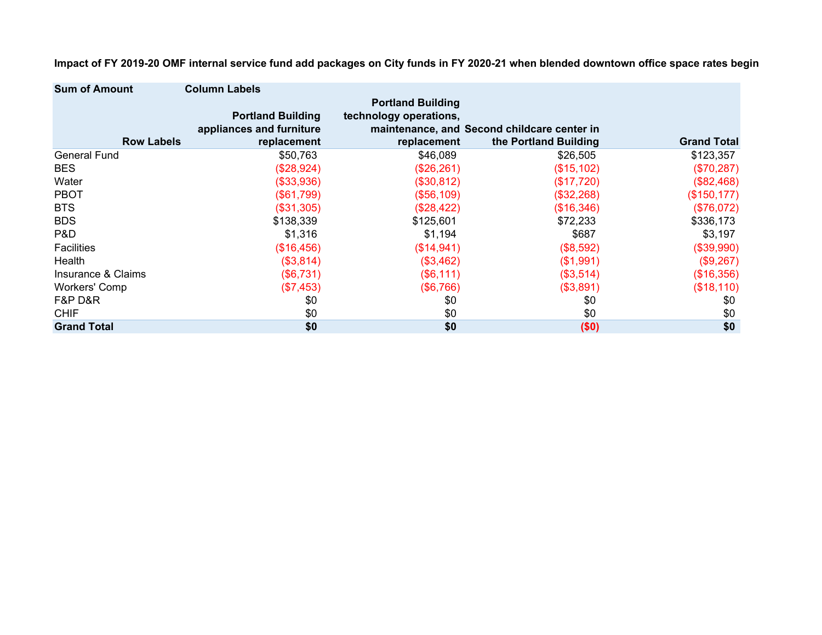| <b>Sum of Amount</b> | <b>Column Labels</b>     |                          |                                             |                    |
|----------------------|--------------------------|--------------------------|---------------------------------------------|--------------------|
|                      |                          | <b>Portland Building</b> |                                             |                    |
|                      | <b>Portland Building</b> | technology operations,   |                                             |                    |
|                      | appliances and furniture |                          | maintenance, and Second childcare center in |                    |
| <b>Row Labels</b>    | replacement              | replacement              | the Portland Building                       | <b>Grand Total</b> |
| <b>General Fund</b>  | \$50,763                 | \$46,089                 | \$26,505                                    | \$123,357          |
| <b>BES</b>           | (\$28,924)               | (\$26,261)               | (\$15,102)                                  | (\$70,287)         |
| Water                | (\$33,936)               | (\$30,812)               | (\$17,720)                                  | (\$82,468)         |
| <b>PBOT</b>          | (\$61,799)               | (\$56,109)               | (\$32,268)                                  | (\$150, 177)       |
| <b>BTS</b>           | (\$31,305)               | (\$28,422)               | (\$16,346)                                  | (\$76,072)         |
| <b>BDS</b>           | \$138,339                | \$125,601                | \$72,233                                    | \$336,173          |
| P&D                  | \$1,316                  | \$1,194                  | \$687                                       | \$3,197            |
| <b>Facilities</b>    | (\$16,456)               | (\$14,941)               | (\$8,592)                                   | (\$39,990)         |
| Health               | (\$3,814)                | (\$3,462)                | (\$1,991)                                   | (\$9,267)          |
| Insurance & Claims   | (\$6,731)                | (\$6,111)                | (\$3,514)                                   | (\$16,356)         |
| <b>Workers' Comp</b> | (\$7,453)                | (\$6,766)                | (\$3,891)                                   | (\$18,110)         |
| F&P D&R              | \$0                      | \$0                      | \$0                                         | \$0                |
| <b>CHIF</b>          | \$0                      | \$0                      | \$0                                         | \$0                |
| <b>Grand Total</b>   | \$0                      | \$0                      | (\$0)                                       | \$0                |

**Impact of FY 2019-20 OMF internal service fund add packages on City funds in FY 2020-21 when blended downtown office space rates begin**